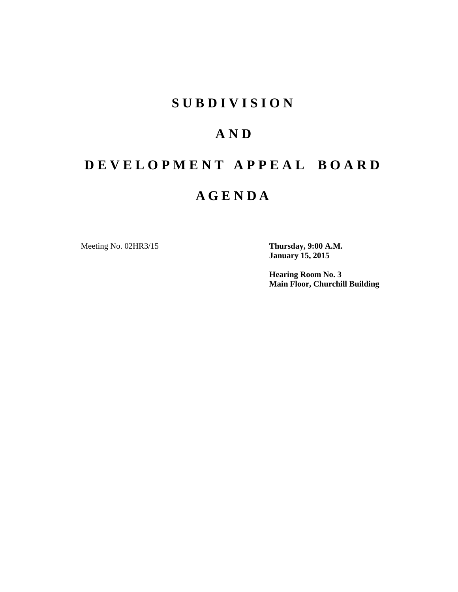## **S U B D I V I S I O N**

## **A N D**

## **D E V E L O P M E N T A P P E A L B O A R D**

## **A G E N D A**

Meeting No. 02HR3/15 **Thursday, 9:00 A.M.**

**January 15, 2015**

**Hearing Room No. 3 Main Floor, Churchill Building**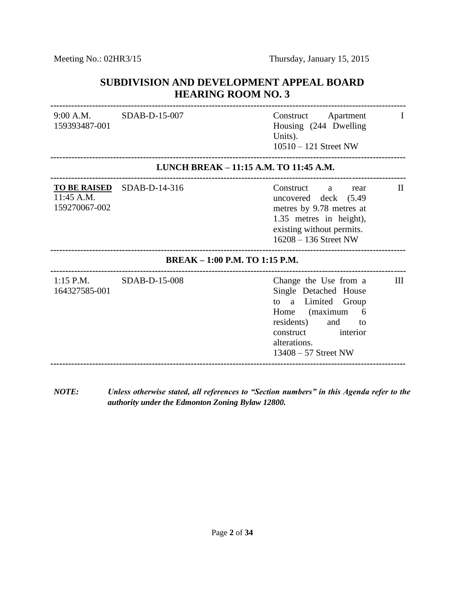### **SUBDIVISION AND DEVELOPMENT APPEAL BOARD HEARING ROOM NO. 3**

| $9:00$ A.M.<br>159393487-001   | SDAB-D-15-007                          | Construct<br>Apartment<br>L<br>Housing (244 Dwelling<br>Units).<br>$10510 - 121$ Street NW                                                                                                                 |  |
|--------------------------------|----------------------------------------|------------------------------------------------------------------------------------------------------------------------------------------------------------------------------------------------------------|--|
|                                | LUNCH BREAK - 11:15 A.M. TO 11:45 A.M. |                                                                                                                                                                                                            |  |
| 11:45 A.M.<br>159270067-002    | TO BE RAISED SDAB-D-14-316             | Construct<br>П<br>a<br>rear<br>uncovered deck (5.49)<br>metres by 9.78 metres at<br>1.35 metres in height),<br>existing without permits.<br>16208 - 136 Street NW                                          |  |
| BREAK - 1:00 P.M. TO 1:15 P.M. |                                        |                                                                                                                                                                                                            |  |
| $1:15$ P.M.<br>164327585-001   | SDAB-D-15-008                          | Ш<br>Change the Use from a<br>Single Detached House<br>Limited<br>Group<br>to<br>a<br>(maximum)<br>6<br>Home<br>residents)<br>and<br>to<br>interior<br>construct<br>alterations.<br>$13408 - 57$ Street NW |  |
|                                |                                        |                                                                                                                                                                                                            |  |

*NOTE: Unless otherwise stated, all references to "Section numbers" in this Agenda refer to the authority under the Edmonton Zoning Bylaw 12800.*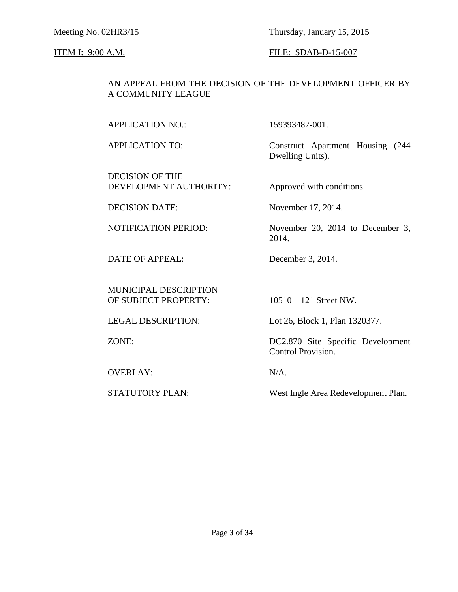Meeting No. 02HR3/15 Thursday, January 15, 2015

### ITEM I: 9:00 A.M. FILE: SDAB-D-15-007

### AN APPEAL FROM THE DECISION OF THE DEVELOPMENT OFFICER BY A COMMUNITY LEAGUE

APPLICATION NO.: 159393487-001.

DECISION OF THE DEVELOPMENT AUTHORITY: Approved with conditions.

DATE OF APPEAL: December 3, 2014.

MUNICIPAL DESCRIPTION OF SUBJECT PROPERTY: 10510 – 121 Street NW.

OVERLAY: N/A.

APPLICATION TO: Construct Apartment Housing (244 Dwelling Units).

DECISION DATE: November 17, 2014.

NOTIFICATION PERIOD: November 20, 2014 to December 3, 2014.

LEGAL DESCRIPTION: Lot 26, Block 1, Plan 1320377.

ZONE: DC2.870 Site Specific Development Control Provision.

\_\_\_\_\_\_\_\_\_\_\_\_\_\_\_\_\_\_\_\_\_\_\_\_\_\_\_\_\_\_\_\_\_\_\_\_\_\_\_\_\_\_\_\_\_\_\_\_\_\_\_\_\_\_\_\_\_\_\_\_\_\_\_\_\_\_

STATUTORY PLAN: West Ingle Area Redevelopment Plan.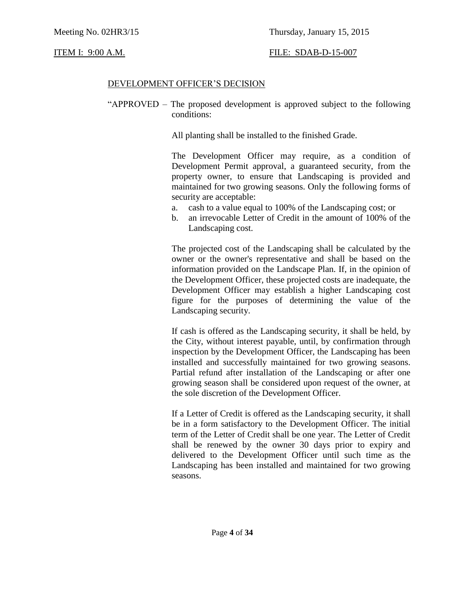#### DEVELOPMENT OFFICER'S DECISION

"APPROVED – The proposed development is approved subject to the following conditions:

All planting shall be installed to the finished Grade.

The Development Officer may require, as a condition of Development Permit approval, a guaranteed security, from the property owner, to ensure that Landscaping is provided and maintained for two growing seasons. Only the following forms of security are acceptable:

- a. cash to a value equal to 100% of the Landscaping cost; or
- b. an irrevocable Letter of Credit in the amount of 100% of the Landscaping cost.

The projected cost of the Landscaping shall be calculated by the owner or the owner's representative and shall be based on the information provided on the Landscape Plan. If, in the opinion of the Development Officer, these projected costs are inadequate, the Development Officer may establish a higher Landscaping cost figure for the purposes of determining the value of the Landscaping security.

If cash is offered as the Landscaping security, it shall be held, by the City, without interest payable, until, by confirmation through inspection by the Development Officer, the Landscaping has been installed and successfully maintained for two growing seasons. Partial refund after installation of the Landscaping or after one growing season shall be considered upon request of the owner, at the sole discretion of the Development Officer.

If a Letter of Credit is offered as the Landscaping security, it shall be in a form satisfactory to the Development Officer. The initial term of the Letter of Credit shall be one year. The Letter of Credit shall be renewed by the owner 30 days prior to expiry and delivered to the Development Officer until such time as the Landscaping has been installed and maintained for two growing seasons.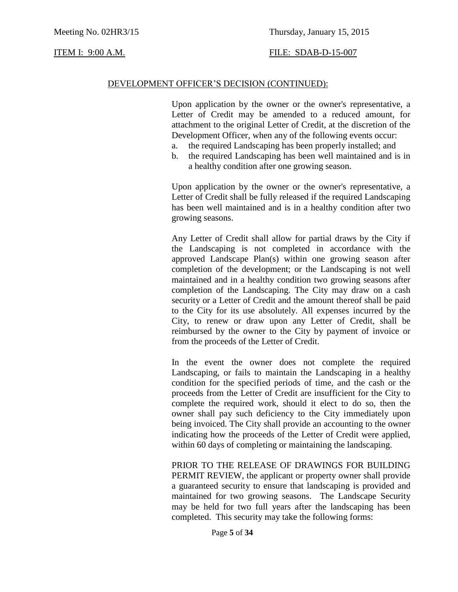#### DEVELOPMENT OFFICER'S DECISION (CONTINUED):

Upon application by the owner or the owner's representative, a Letter of Credit may be amended to a reduced amount, for attachment to the original Letter of Credit, at the discretion of the Development Officer, when any of the following events occur:

- a. the required Landscaping has been properly installed; and
- b. the required Landscaping has been well maintained and is in a healthy condition after one growing season.

Upon application by the owner or the owner's representative, a Letter of Credit shall be fully released if the required Landscaping has been well maintained and is in a healthy condition after two growing seasons.

Any Letter of Credit shall allow for partial draws by the City if the Landscaping is not completed in accordance with the approved Landscape Plan(s) within one growing season after completion of the development; or the Landscaping is not well maintained and in a healthy condition two growing seasons after completion of the Landscaping. The City may draw on a cash security or a Letter of Credit and the amount thereof shall be paid to the City for its use absolutely. All expenses incurred by the City, to renew or draw upon any Letter of Credit, shall be reimbursed by the owner to the City by payment of invoice or from the proceeds of the Letter of Credit.

In the event the owner does not complete the required Landscaping, or fails to maintain the Landscaping in a healthy condition for the specified periods of time, and the cash or the proceeds from the Letter of Credit are insufficient for the City to complete the required work, should it elect to do so, then the owner shall pay such deficiency to the City immediately upon being invoiced. The City shall provide an accounting to the owner indicating how the proceeds of the Letter of Credit were applied, within 60 days of completing or maintaining the landscaping.

PRIOR TO THE RELEASE OF DRAWINGS FOR BUILDING PERMIT REVIEW, the applicant or property owner shall provide a guaranteed security to ensure that landscaping is provided and maintained for two growing seasons. The Landscape Security may be held for two full years after the landscaping has been completed. This security may take the following forms: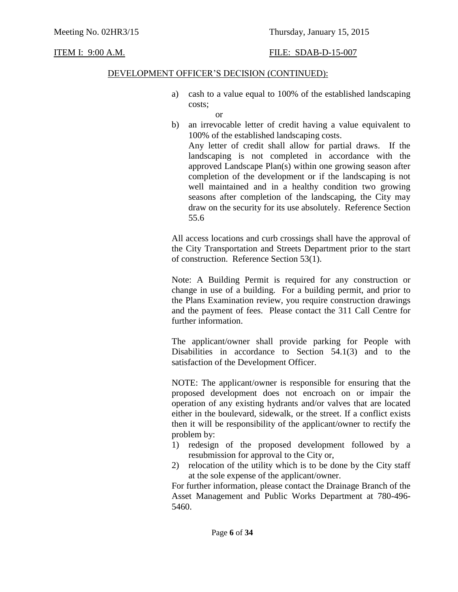#### DEVELOPMENT OFFICER'S DECISION (CONTINUED):

- a) cash to a value equal to 100% of the established landscaping costs;
	- or
- b) an irrevocable letter of credit having a value equivalent to 100% of the established landscaping costs.

Any letter of credit shall allow for partial draws. If the landscaping is not completed in accordance with the approved Landscape Plan(s) within one growing season after completion of the development or if the landscaping is not well maintained and in a healthy condition two growing seasons after completion of the landscaping, the City may draw on the security for its use absolutely. Reference Section 55.6

All access locations and curb crossings shall have the approval of the City Transportation and Streets Department prior to the start of construction. Reference Section 53(1).

Note: A Building Permit is required for any construction or change in use of a building. For a building permit, and prior to the Plans Examination review, you require construction drawings and the payment of fees. Please contact the 311 Call Centre for further information.

The applicant/owner shall provide parking for People with Disabilities in accordance to Section 54.1(3) and to the satisfaction of the Development Officer.

NOTE: The applicant/owner is responsible for ensuring that the proposed development does not encroach on or impair the operation of any existing hydrants and/or valves that are located either in the boulevard, sidewalk, or the street. If a conflict exists then it will be responsibility of the applicant/owner to rectify the problem by:

- 1) redesign of the proposed development followed by a resubmission for approval to the City or,
- 2) relocation of the utility which is to be done by the City staff at the sole expense of the applicant/owner.

For further information, please contact the Drainage Branch of the Asset Management and Public Works Department at 780-496- 5460.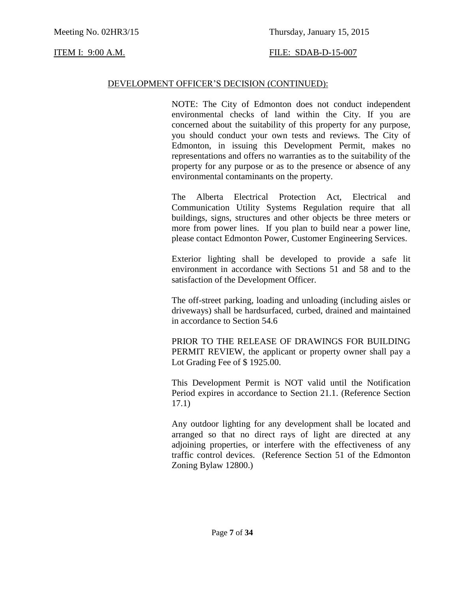### Meeting No. 02HR3/15 Thursday, January 15, 2015

#### ITEM I: 9:00 A.M. FILE: SDAB-D-15-007

#### DEVELOPMENT OFFICER'S DECISION (CONTINUED):

NOTE: The City of Edmonton does not conduct independent environmental checks of land within the City. If you are concerned about the suitability of this property for any purpose, you should conduct your own tests and reviews. The City of Edmonton, in issuing this Development Permit, makes no representations and offers no warranties as to the suitability of the property for any purpose or as to the presence or absence of any environmental contaminants on the property.

The Alberta Electrical Protection Act, Electrical and Communication Utility Systems Regulation require that all buildings, signs, structures and other objects be three meters or more from power lines. If you plan to build near a power line, please contact Edmonton Power, Customer Engineering Services.

Exterior lighting shall be developed to provide a safe lit environment in accordance with Sections 51 and 58 and to the satisfaction of the Development Officer.

The off-street parking, loading and unloading (including aisles or driveways) shall be hardsurfaced, curbed, drained and maintained in accordance to Section 54.6

PRIOR TO THE RELEASE OF DRAWINGS FOR BUILDING PERMIT REVIEW, the applicant or property owner shall pay a Lot Grading Fee of \$ 1925.00.

This Development Permit is NOT valid until the Notification Period expires in accordance to Section 21.1. (Reference Section 17.1)

Any outdoor lighting for any development shall be located and arranged so that no direct rays of light are directed at any adjoining properties, or interfere with the effectiveness of any traffic control devices. (Reference Section 51 of the Edmonton Zoning Bylaw 12800.)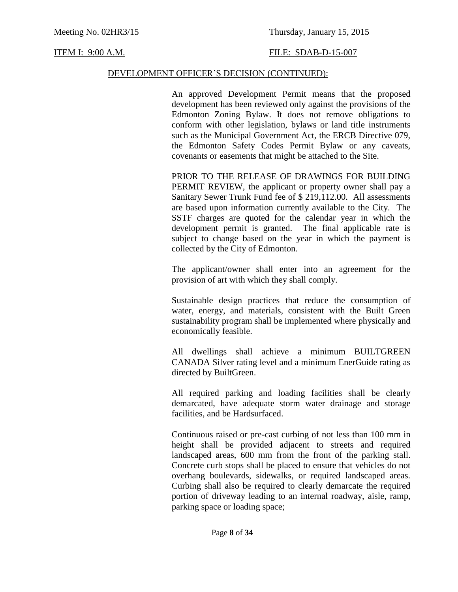#### DEVELOPMENT OFFICER'S DECISION (CONTINUED):

An approved Development Permit means that the proposed development has been reviewed only against the provisions of the Edmonton Zoning Bylaw. It does not remove obligations to conform with other legislation, bylaws or land title instruments such as the Municipal Government Act, the ERCB Directive 079, the Edmonton Safety Codes Permit Bylaw or any caveats, covenants or easements that might be attached to the Site.

PRIOR TO THE RELEASE OF DRAWINGS FOR BUILDING PERMIT REVIEW, the applicant or property owner shall pay a Sanitary Sewer Trunk Fund fee of \$ 219,112.00. All assessments are based upon information currently available to the City. The SSTF charges are quoted for the calendar year in which the development permit is granted. The final applicable rate is subject to change based on the year in which the payment is collected by the City of Edmonton.

The applicant/owner shall enter into an agreement for the provision of art with which they shall comply.

Sustainable design practices that reduce the consumption of water, energy, and materials, consistent with the Built Green sustainability program shall be implemented where physically and economically feasible.

All dwellings shall achieve a minimum BUILTGREEN CANADA Silver rating level and a minimum EnerGuide rating as directed by BuiltGreen.

All required parking and loading facilities shall be clearly demarcated, have adequate storm water drainage and storage facilities, and be Hardsurfaced.

Continuous raised or pre-cast curbing of not less than 100 mm in height shall be provided adjacent to streets and required landscaped areas, 600 mm from the front of the parking stall. Concrete curb stops shall be placed to ensure that vehicles do not overhang boulevards, sidewalks, or required landscaped areas. Curbing shall also be required to clearly demarcate the required portion of driveway leading to an internal roadway, aisle, ramp, parking space or loading space;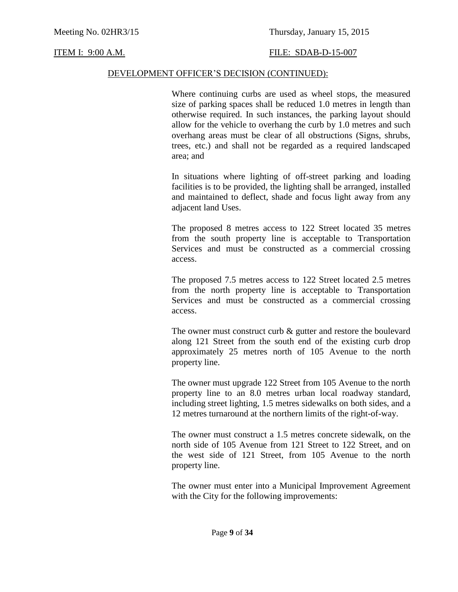#### DEVELOPMENT OFFICER'S DECISION (CONTINUED):

Where continuing curbs are used as wheel stops, the measured size of parking spaces shall be reduced 1.0 metres in length than otherwise required. In such instances, the parking layout should allow for the vehicle to overhang the curb by 1.0 metres and such overhang areas must be clear of all obstructions (Signs, shrubs, trees, etc.) and shall not be regarded as a required landscaped area; and

In situations where lighting of off-street parking and loading facilities is to be provided, the lighting shall be arranged, installed and maintained to deflect, shade and focus light away from any adjacent land Uses.

The proposed 8 metres access to 122 Street located 35 metres from the south property line is acceptable to Transportation Services and must be constructed as a commercial crossing access.

The proposed 7.5 metres access to 122 Street located 2.5 metres from the north property line is acceptable to Transportation Services and must be constructed as a commercial crossing access.

The owner must construct curb & gutter and restore the boulevard along 121 Street from the south end of the existing curb drop approximately 25 metres north of 105 Avenue to the north property line.

The owner must upgrade 122 Street from 105 Avenue to the north property line to an 8.0 metres urban local roadway standard, including street lighting, 1.5 metres sidewalks on both sides, and a 12 metres turnaround at the northern limits of the right-of-way.

The owner must construct a 1.5 metres concrete sidewalk, on the north side of 105 Avenue from 121 Street to 122 Street, and on the west side of 121 Street, from 105 Avenue to the north property line.

The owner must enter into a Municipal Improvement Agreement with the City for the following improvements: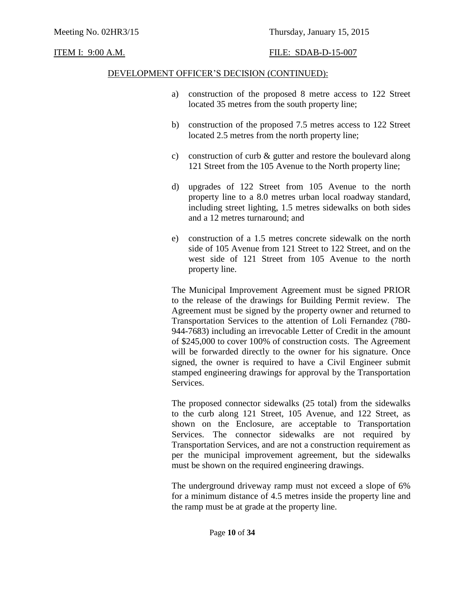#### DEVELOPMENT OFFICER'S DECISION (CONTINUED):

- a) construction of the proposed 8 metre access to 122 Street located 35 metres from the south property line;
- b) construction of the proposed 7.5 metres access to 122 Street located 2.5 metres from the north property line;
- c) construction of curb & gutter and restore the boulevard along 121 Street from the 105 Avenue to the North property line;
- d) upgrades of 122 Street from 105 Avenue to the north property line to a 8.0 metres urban local roadway standard, including street lighting, 1.5 metres sidewalks on both sides and a 12 metres turnaround; and
- e) construction of a 1.5 metres concrete sidewalk on the north side of 105 Avenue from 121 Street to 122 Street, and on the west side of 121 Street from 105 Avenue to the north property line.

The Municipal Improvement Agreement must be signed PRIOR to the release of the drawings for Building Permit review. The Agreement must be signed by the property owner and returned to Transportation Services to the attention of Loli Fernandez (780- 944-7683) including an irrevocable Letter of Credit in the amount of \$245,000 to cover 100% of construction costs. The Agreement will be forwarded directly to the owner for his signature. Once signed, the owner is required to have a Civil Engineer submit stamped engineering drawings for approval by the Transportation Services.

The proposed connector sidewalks (25 total) from the sidewalks to the curb along 121 Street, 105 Avenue, and 122 Street, as shown on the Enclosure, are acceptable to Transportation Services. The connector sidewalks are not required by Transportation Services, and are not a construction requirement as per the municipal improvement agreement, but the sidewalks must be shown on the required engineering drawings.

The underground driveway ramp must not exceed a slope of 6% for a minimum distance of 4.5 metres inside the property line and the ramp must be at grade at the property line.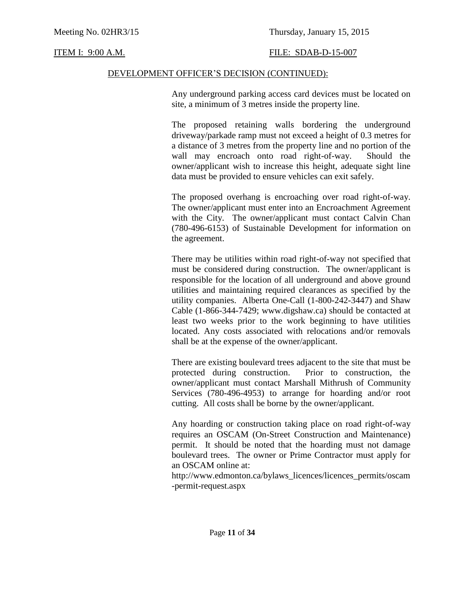### DEVELOPMENT OFFICER'S DECISION (CONTINUED):

Any underground parking access card devices must be located on site, a minimum of 3 metres inside the property line.

The proposed retaining walls bordering the underground driveway/parkade ramp must not exceed a height of 0.3 metres for a distance of 3 metres from the property line and no portion of the wall may encroach onto road right-of-way. Should the owner/applicant wish to increase this height, adequate sight line data must be provided to ensure vehicles can exit safely.

The proposed overhang is encroaching over road right-of-way. The owner/applicant must enter into an Encroachment Agreement with the City. The owner/applicant must contact Calvin Chan (780-496-6153) of Sustainable Development for information on the agreement.

There may be utilities within road right-of-way not specified that must be considered during construction. The owner/applicant is responsible for the location of all underground and above ground utilities and maintaining required clearances as specified by the utility companies. Alberta One-Call (1-800-242-3447) and Shaw Cable (1-866-344-7429; www.digshaw.ca) should be contacted at least two weeks prior to the work beginning to have utilities located. Any costs associated with relocations and/or removals shall be at the expense of the owner/applicant.

There are existing boulevard trees adjacent to the site that must be protected during construction. Prior to construction, the owner/applicant must contact Marshall Mithrush of Community Services (780-496-4953) to arrange for hoarding and/or root cutting. All costs shall be borne by the owner/applicant.

Any hoarding or construction taking place on road right-of-way requires an OSCAM (On-Street Construction and Maintenance) permit. It should be noted that the hoarding must not damage boulevard trees. The owner or Prime Contractor must apply for an OSCAM online at:

http://www.edmonton.ca/bylaws\_licences/licences\_permits/oscam -permit-request.aspx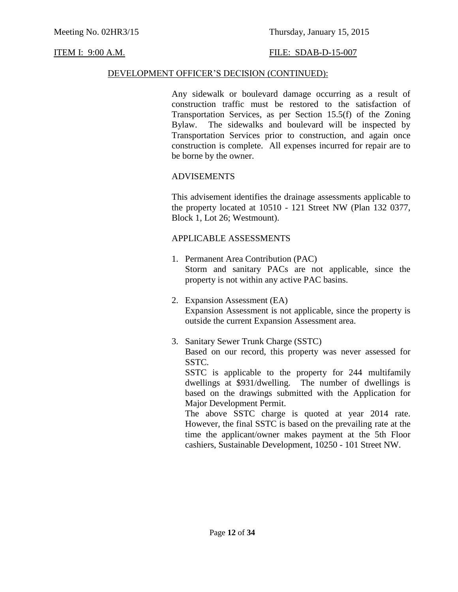#### DEVELOPMENT OFFICER'S DECISION (CONTINUED):

Any sidewalk or boulevard damage occurring as a result of construction traffic must be restored to the satisfaction of Transportation Services, as per Section 15.5(f) of the Zoning Bylaw. The sidewalks and boulevard will be inspected by Transportation Services prior to construction, and again once construction is complete. All expenses incurred for repair are to be borne by the owner.

#### ADVISEMENTS

This advisement identifies the drainage assessments applicable to the property located at 10510 - 121 Street NW (Plan 132 0377, Block 1, Lot 26; Westmount).

#### APPLICABLE ASSESSMENTS

- 1. Permanent Area Contribution (PAC) Storm and sanitary PACs are not applicable, since the property is not within any active PAC basins.
- 2. Expansion Assessment (EA) Expansion Assessment is not applicable, since the property is outside the current Expansion Assessment area.
- 3. Sanitary Sewer Trunk Charge (SSTC) Based on our record, this property was never assessed for SSTC. SSTC is applicable to the property for 244 multifamily

dwellings at \$931/dwelling. The number of dwellings is based on the drawings submitted with the Application for Major Development Permit.

The above SSTC charge is quoted at year 2014 rate. However, the final SSTC is based on the prevailing rate at the time the applicant/owner makes payment at the 5th Floor cashiers, Sustainable Development, 10250 - 101 Street NW.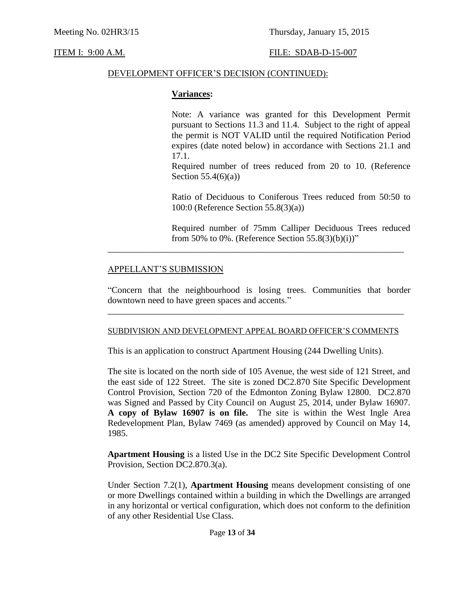#### DEVELOPMENT OFFICER'S DECISION (CONTINUED):

#### **Variances:**

Note: A variance was granted for this Development Permit pursuant to Sections 11.3 and 11.4. Subject to the right of appeal the permit is NOT VALID until the required Notification Period expires (date noted below) in accordance with Sections 21.1 and 17.1.

Required number of trees reduced from 20 to 10. (Reference Section  $55.4(6)(a)$ )

Ratio of Deciduous to Coniferous Trees reduced from 50:50 to 100:0 (Reference Section 55.8(3)(a))

Required number of 75mm Calliper Deciduous Trees reduced from 50% to 0%. (Reference Section 55.8(3)(b)(i))"

#### APPELLANT'S SUBMISSION

"Concern that the neighbourhood is losing trees. Communities that border downtown need to have green spaces and accents."

\_\_\_\_\_\_\_\_\_\_\_\_\_\_\_\_\_\_\_\_\_\_\_\_\_\_\_\_\_\_\_\_\_\_\_\_\_\_\_\_\_\_\_\_\_\_\_\_\_\_\_\_\_\_\_\_\_\_\_\_\_\_\_\_\_\_

#### SUBDIVISION AND DEVELOPMENT APPEAL BOARD OFFICER'S COMMENTS

\_\_\_\_\_\_\_\_\_\_\_\_\_\_\_\_\_\_\_\_\_\_\_\_\_\_\_\_\_\_\_\_\_\_\_\_\_\_\_\_\_\_\_\_\_\_\_\_\_\_\_\_\_\_\_\_\_\_\_\_\_\_\_\_\_\_

This is an application to construct Apartment Housing (244 Dwelling Units).

The site is located on the north side of 105 Avenue, the west side of 121 Street, and the east side of 122 Street. The site is zoned DC2.870 Site Specific Development Control Provision, Section 720 of the Edmonton Zoning Bylaw 12800. DC2.870 was Signed and Passed by City Council on August 25, 2014, under Bylaw 16907. **A copy of Bylaw 16907 is on file.** The site is within the West Ingle Area Redevelopment Plan, Bylaw 7469 (as amended) approved by Council on May 14, 1985.

**Apartment Housing** is a listed Use in the DC2 Site Specific Development Control Provision, Section DC2.870.3(a).

Under Section 7.2(1), **Apartment Housing** means development consisting of one or more Dwellings contained within a building in which the Dwellings are arranged in any horizontal or vertical configuration, which does not conform to the definition of any other Residential Use Class.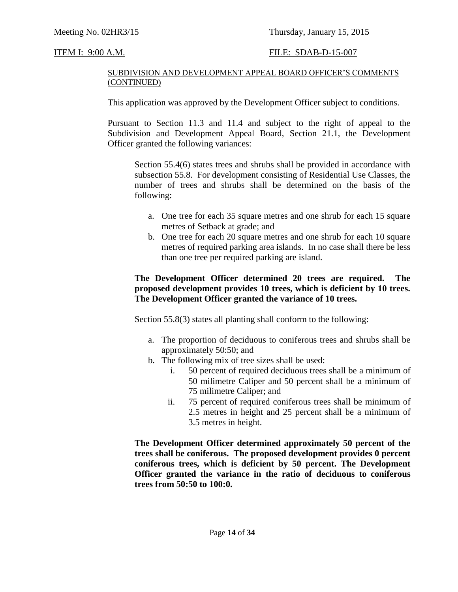#### SUBDIVISION AND DEVELOPMENT APPEAL BOARD OFFICER'S COMMENTS (CONTINUED)

This application was approved by the Development Officer subject to conditions.

Pursuant to Section 11.3 and 11.4 and subject to the right of appeal to the Subdivision and Development Appeal Board, Section 21.1, the Development Officer granted the following variances:

Section 55.4(6) states trees and shrubs shall be provided in accordance with subsection 55.8. For development consisting of Residential Use Classes, the number of trees and shrubs shall be determined on the basis of the following:

- a. One tree for each 35 square metres and one shrub for each 15 square metres of Setback at grade; and
- b. One tree for each 20 square metres and one shrub for each 10 square metres of required parking area islands. In no case shall there be less than one tree per required parking are island.

### **The Development Officer determined 20 trees are required. The proposed development provides 10 trees, which is deficient by 10 trees. The Development Officer granted the variance of 10 trees.**

Section 55.8(3) states all planting shall conform to the following:

- a. The proportion of deciduous to coniferous trees and shrubs shall be approximately 50:50; and
- b. The following mix of tree sizes shall be used:
	- i. 50 percent of required deciduous trees shall be a minimum of 50 milimetre Caliper and 50 percent shall be a minimum of 75 milimetre Caliper; and
	- ii. 75 percent of required coniferous trees shall be minimum of 2.5 metres in height and 25 percent shall be a minimum of 3.5 metres in height.

**The Development Officer determined approximately 50 percent of the trees shall be coniferous. The proposed development provides 0 percent coniferous trees, which is deficient by 50 percent. The Development Officer granted the variance in the ratio of deciduous to coniferous trees from 50:50 to 100:0.**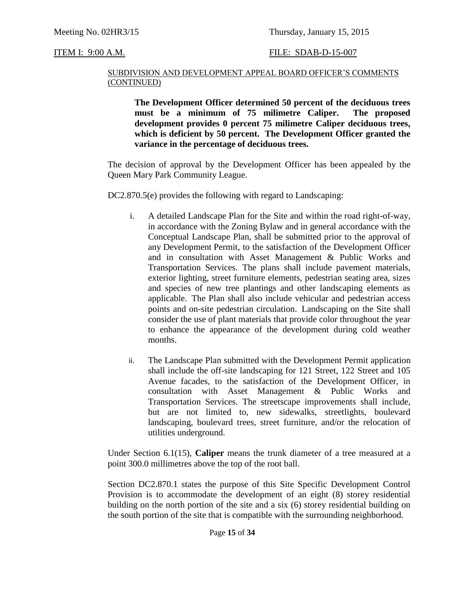#### SUBDIVISION AND DEVELOPMENT APPEAL BOARD OFFICER'S COMMENTS (CONTINUED)

**The Development Officer determined 50 percent of the deciduous trees must be a minimum of 75 milimetre Caliper. The proposed development provides 0 percent 75 milimetre Caliper deciduous trees, which is deficient by 50 percent. The Development Officer granted the variance in the percentage of deciduous trees.**

The decision of approval by the Development Officer has been appealed by the Queen Mary Park Community League.

DC2.870.5(e) provides the following with regard to Landscaping:

- i. A detailed Landscape Plan for the Site and within the road right-of-way, in accordance with the Zoning Bylaw and in general accordance with the Conceptual Landscape Plan, shall be submitted prior to the approval of any Development Permit, to the satisfaction of the Development Officer and in consultation with Asset Management & Public Works and Transportation Services. The plans shall include pavement materials, exterior lighting, street furniture elements, pedestrian seating area, sizes and species of new tree plantings and other landscaping elements as applicable. The Plan shall also include vehicular and pedestrian access points and on-site pedestrian circulation. Landscaping on the Site shall consider the use of plant materials that provide color throughout the year to enhance the appearance of the development during cold weather months.
- ii. The Landscape Plan submitted with the Development Permit application shall include the off-site landscaping for 121 Street, 122 Street and 105 Avenue facades, to the satisfaction of the Development Officer, in consultation with Asset Management & Public Works and Transportation Services. The streetscape improvements shall include, but are not limited to, new sidewalks, streetlights, boulevard landscaping, boulevard trees, street furniture, and/or the relocation of utilities underground.

Under Section 6.1(15), **Caliper** means the trunk diameter of a tree measured at a point 300.0 millimetres above the top of the root ball.

Section DC2.870.1 states the purpose of this Site Specific Development Control Provision is to accommodate the development of an eight (8) storey residential building on the north portion of the site and a six (6) storey residential building on the south portion of the site that is compatible with the surrounding neighborhood.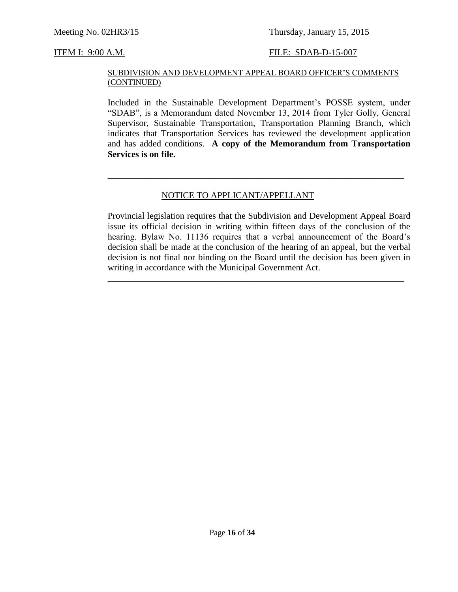#### SUBDIVISION AND DEVELOPMENT APPEAL BOARD OFFICER'S COMMENTS (CONTINUED)

Included in the Sustainable Development Department's POSSE system, under "SDAB", is a Memorandum dated November 13, 2014 from Tyler Golly, General Supervisor, Sustainable Transportation, Transportation Planning Branch, which indicates that Transportation Services has reviewed the development application and has added conditions. **A copy of the Memorandum from Transportation Services is on file.**

\_\_\_\_\_\_\_\_\_\_\_\_\_\_\_\_\_\_\_\_\_\_\_\_\_\_\_\_\_\_\_\_\_\_\_\_\_\_\_\_\_\_\_\_\_\_\_\_\_\_\_\_\_\_\_\_\_\_\_\_\_\_\_\_\_\_

#### NOTICE TO APPLICANT/APPELLANT

Provincial legislation requires that the Subdivision and Development Appeal Board issue its official decision in writing within fifteen days of the conclusion of the hearing. Bylaw No. 11136 requires that a verbal announcement of the Board's decision shall be made at the conclusion of the hearing of an appeal, but the verbal decision is not final nor binding on the Board until the decision has been given in writing in accordance with the Municipal Government Act.

\_\_\_\_\_\_\_\_\_\_\_\_\_\_\_\_\_\_\_\_\_\_\_\_\_\_\_\_\_\_\_\_\_\_\_\_\_\_\_\_\_\_\_\_\_\_\_\_\_\_\_\_\_\_\_\_\_\_\_\_\_\_\_\_\_\_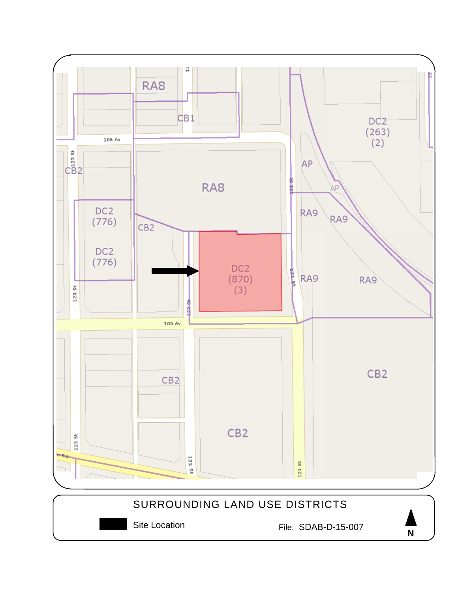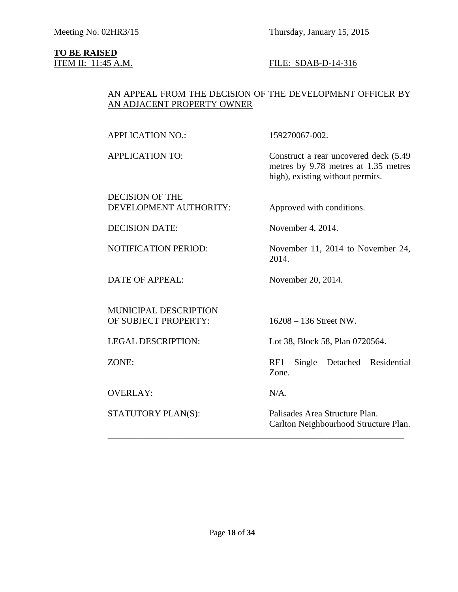# **TO BE RAISED**<br>**ITEM II:** 11:45 A.M.

#### FILE: SDAB-D-14-316

### AN APPEAL FROM THE DECISION OF THE DEVELOPMENT OFFICER BY AN ADJACENT PROPERTY OWNER

APPLICATION NO.: 159270067-002.

DECISION OF THE DEVELOPMENT AUTHORITY: Approved with conditions.

APPLICATION TO: Construct a rear uncovered deck (5.49 metres by 9.78 metres at 1.35 metres high), existing without permits.

DECISION DATE: November 4, 2014.

NOTIFICATION PERIOD: November 11, 2014 to November 24,

DATE OF APPEAL: November 20, 2014.

MUNICIPAL DESCRIPTION OF SUBJECT PROPERTY: 16208 – 136 Street NW.

OVERLAY: N/A.

LEGAL DESCRIPTION: Lot 38, Block 58, Plan 0720564.

ZONE: RF1 Single Detached Residential Zone.

\_\_\_\_\_\_\_\_\_\_\_\_\_\_\_\_\_\_\_\_\_\_\_\_\_\_\_\_\_\_\_\_\_\_\_\_\_\_\_\_\_\_\_\_\_\_\_\_\_\_\_\_\_\_\_\_\_\_\_\_\_\_\_\_\_\_

2014.

STATUTORY PLAN(S): Palisades Area Structure Plan. Carlton Neighbourhood Structure Plan.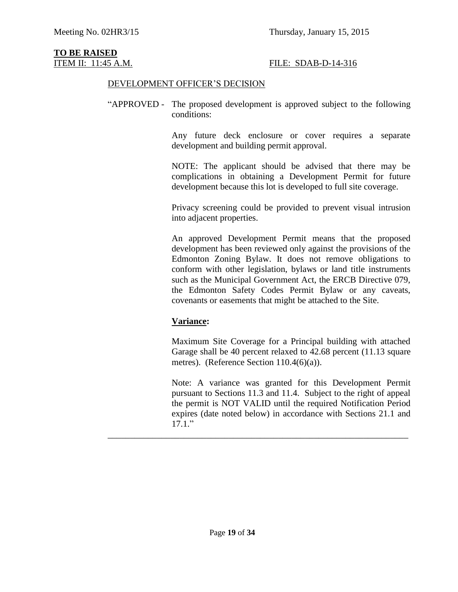# **TO BE RAISED**

### ITEM II: 11:45 A.M. FILE: SDAB-D-14-316

#### DEVELOPMENT OFFICER'S DECISION

"APPROVED - The proposed development is approved subject to the following conditions:

> Any future deck enclosure or cover requires a separate development and building permit approval.

> NOTE: The applicant should be advised that there may be complications in obtaining a Development Permit for future development because this lot is developed to full site coverage.

> Privacy screening could be provided to prevent visual intrusion into adjacent properties.

> An approved Development Permit means that the proposed development has been reviewed only against the provisions of the Edmonton Zoning Bylaw. It does not remove obligations to conform with other legislation, bylaws or land title instruments such as the Municipal Government Act, the ERCB Directive 079, the Edmonton Safety Codes Permit Bylaw or any caveats, covenants or easements that might be attached to the Site.

### **Variance:**

Maximum Site Coverage for a Principal building with attached Garage shall be 40 percent relaxed to 42.68 percent (11.13 square metres). (Reference Section 110.4(6)(a)).

Note: A variance was granted for this Development Permit pursuant to Sections 11.3 and 11.4. Subject to the right of appeal the permit is NOT VALID until the required Notification Period expires (date noted below) in accordance with Sections 21.1 and 17.1."

\_\_\_\_\_\_\_\_\_\_\_\_\_\_\_\_\_\_\_\_\_\_\_\_\_\_\_\_\_\_\_\_\_\_\_\_\_\_\_\_\_\_\_\_\_\_\_\_\_\_\_\_\_\_\_\_\_\_\_\_\_\_\_\_\_\_\_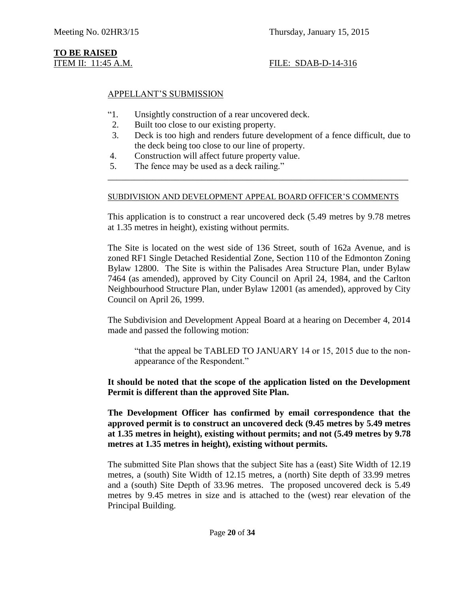## **TO BE RAISED**

### ITEM II: 11:45 A.M. FILE: SDAB-D-14-316

### APPELLANT'S SUBMISSION

- "1. Unsightly construction of a rear uncovered deck.
- 2. Built too close to our existing property.
- 3. Deck is too high and renders future development of a fence difficult, due to the deck being too close to our line of property.
- 4. Construction will affect future property value.
- 5. The fence may be used as a deck railing."

#### SUBDIVISION AND DEVELOPMENT APPEAL BOARD OFFICER'S COMMENTS

\_\_\_\_\_\_\_\_\_\_\_\_\_\_\_\_\_\_\_\_\_\_\_\_\_\_\_\_\_\_\_\_\_\_\_\_\_\_\_\_\_\_\_\_\_\_\_\_\_\_\_\_\_\_\_\_\_\_\_\_\_\_\_\_\_\_\_

This application is to construct a rear uncovered deck (5.49 metres by 9.78 metres at 1.35 metres in height), existing without permits.

The Site is located on the west side of 136 Street, south of 162a Avenue, and is zoned RF1 Single Detached Residential Zone, Section 110 of the Edmonton Zoning Bylaw 12800. The Site is within the Palisades Area Structure Plan, under Bylaw 7464 (as amended), approved by City Council on April 24, 1984, and the Carlton Neighbourhood Structure Plan, under Bylaw 12001 (as amended), approved by City Council on April 26, 1999.

The Subdivision and Development Appeal Board at a hearing on December 4, 2014 made and passed the following motion:

"that the appeal be TABLED TO JANUARY 14 or 15, 2015 due to the nonappearance of the Respondent."

**It should be noted that the scope of the application listed on the Development Permit is different than the approved Site Plan.** 

**The Development Officer has confirmed by email correspondence that the approved permit is to construct an uncovered deck (9.45 metres by 5.49 metres at 1.35 metres in height), existing without permits; and not (5.49 metres by 9.78 metres at 1.35 metres in height), existing without permits.**

The submitted Site Plan shows that the subject Site has a (east) Site Width of 12.19 metres, a (south) Site Width of 12.15 metres, a (north) Site depth of 33.99 metres and a (south) Site Depth of 33.96 metres. The proposed uncovered deck is 5.49 metres by 9.45 metres in size and is attached to the (west) rear elevation of the Principal Building.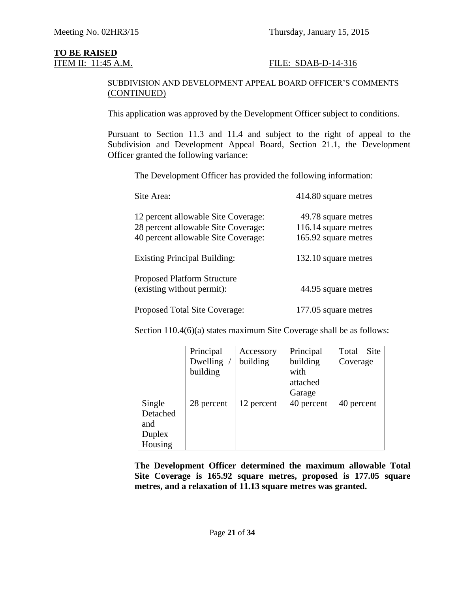# **TO BE RAISED**<br>**ITEM II:** 11:45 A.M.

### FILE: SDAB-D-14-316

#### SUBDIVISION AND DEVELOPMENT APPEAL BOARD OFFICER'S COMMENTS (CONTINUED)

This application was approved by the Development Officer subject to conditions.

Pursuant to Section 11.3 and 11.4 and subject to the right of appeal to the Subdivision and Development Appeal Board, Section 21.1, the Development Officer granted the following variance:

The Development Officer has provided the following information:

| Site Area:                                                                                                        | 414.80 square metres                                                |
|-------------------------------------------------------------------------------------------------------------------|---------------------------------------------------------------------|
| 12 percent allowable Site Coverage:<br>28 percent allowable Site Coverage:<br>40 percent allowable Site Coverage: | 49.78 square metres<br>116.14 square metres<br>165.92 square metres |
| <b>Existing Principal Building:</b>                                                                               | 132.10 square metres                                                |
| <b>Proposed Platform Structure</b><br>(existing without permit):                                                  | 44.95 square metres                                                 |
| Proposed Total Site Coverage:                                                                                     | 177.05 square metres                                                |

Section 110.4(6)(a) states maximum Site Coverage shall be as follows:

|          | Principal  | Accessory  | Principal  | Total<br>Site |
|----------|------------|------------|------------|---------------|
|          | Dwelling   | building   | building   | Coverage      |
|          | building   |            | with       |               |
|          |            |            | attached   |               |
|          |            |            | Garage     |               |
| Single   | 28 percent | 12 percent | 40 percent | 40 percent    |
| Detached |            |            |            |               |
| and      |            |            |            |               |
| Duplex   |            |            |            |               |
| Housing  |            |            |            |               |

**The Development Officer determined the maximum allowable Total Site Coverage is 165.92 square metres, proposed is 177.05 square metres, and a relaxation of 11.13 square metres was granted.**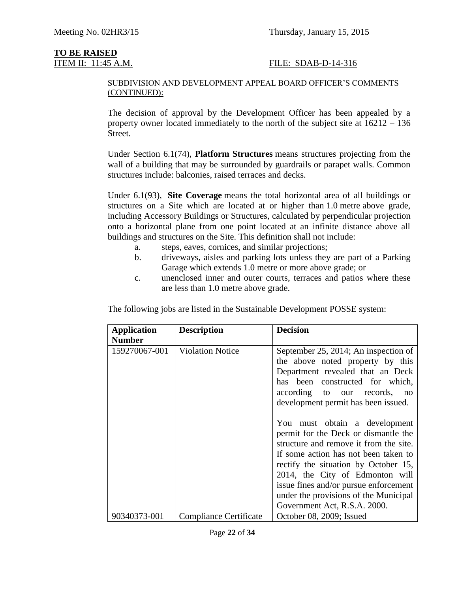## **TO BE RAISED**

### ITEM II: 11:45 A.M. FILE: SDAB-D-14-316

#### SUBDIVISION AND DEVELOPMENT APPEAL BOARD OFFICER'S COMMENTS (CONTINUED):

The decision of approval by the Development Officer has been appealed by a property owner located immediately to the north of the subject site at 16212 – 136 Street.

Under Section 6.1(74), **Platform Structures** means structures projecting from the wall of a building that may be surrounded by guardrails or parapet walls. Common structures include: balconies, raised terraces and decks.

Under 6.1(93), **Site Coverage** means the total horizontal area of all buildings or structures on a Site which are located at or higher than [1.0](javascript:void(0);) metre above grade, including Accessory Buildings or Structures, calculated by perpendicular projection onto a horizontal plane from one point located at an infinite distance above all buildings and structures on the Site. This definition shall not include:

- a. steps, eaves, cornices, and similar projections;
- b. driveways, aisles and parking lots unless they are part of a Parking Garage which extends [1.0](javascript:void(0);) metre or more above grade; or
- c. unenclosed inner and outer courts, terraces and patios where these are less than [1.0](javascript:void(0);) metre above grade.

The following jobs are listed in the Sustainable Development POSSE system:

| <b>Application</b><br><b>Number</b> | <b>Description</b>      | <b>Decision</b>                                                                                                                                                                                                                                                                                                                                      |
|-------------------------------------|-------------------------|------------------------------------------------------------------------------------------------------------------------------------------------------------------------------------------------------------------------------------------------------------------------------------------------------------------------------------------------------|
| 159270067-001                       | <b>Violation Notice</b> | September 25, 2014; An inspection of<br>the above noted property by this<br>Department revealed that an Deck<br>has been constructed for which,<br>according to our records,<br>$\overline{p}$<br>development permit has been issued.                                                                                                                |
|                                     |                         | You must obtain a development<br>permit for the Deck or dismantle the<br>structure and remove it from the site.<br>If some action has not been taken to<br>rectify the situation by October 15,<br>2014, the City of Edmonton will<br>issue fines and/or pursue enforcement<br>under the provisions of the Municipal<br>Government Act, R.S.A. 2000. |
| 90340373-001                        | Compliance Certificate  | October 08, 2009; Issued                                                                                                                                                                                                                                                                                                                             |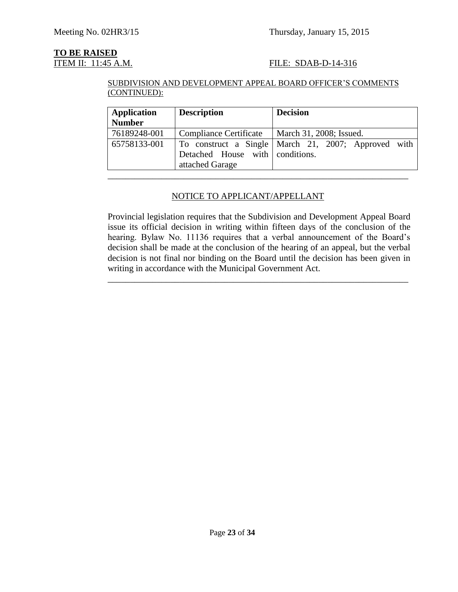# **TO BE RAISED**<br>**ITEM II:** 11:45 A.M.

### FILE: SDAB-D-14-316

#### SUBDIVISION AND DEVELOPMENT APPEAL BOARD OFFICER'S COMMENTS (CONTINUED):

| <b>Application</b> | <b>Description</b>                                 | <b>Decision</b>                                     |
|--------------------|----------------------------------------------------|-----------------------------------------------------|
| <b>Number</b>      |                                                    |                                                     |
| 76189248-001       | <b>Compliance Certificate</b>                      | March 31, 2008; Issued.                             |
| 65758133-001       | Detached House with conditions.<br>attached Garage | To construct a Single March 21, 2007; Approved with |

### NOTICE TO APPLICANT/APPELLANT

Provincial legislation requires that the Subdivision and Development Appeal Board issue its official decision in writing within fifteen days of the conclusion of the hearing. Bylaw No. 11136 requires that a verbal announcement of the Board's decision shall be made at the conclusion of the hearing of an appeal, but the verbal decision is not final nor binding on the Board until the decision has been given in writing in accordance with the Municipal Government Act.

\_\_\_\_\_\_\_\_\_\_\_\_\_\_\_\_\_\_\_\_\_\_\_\_\_\_\_\_\_\_\_\_\_\_\_\_\_\_\_\_\_\_\_\_\_\_\_\_\_\_\_\_\_\_\_\_\_\_\_\_\_\_\_\_\_\_\_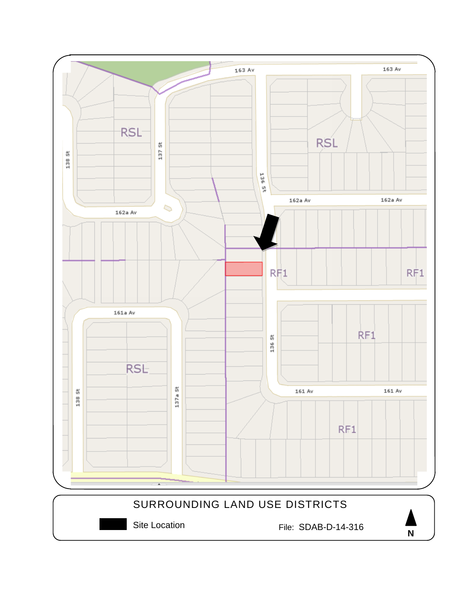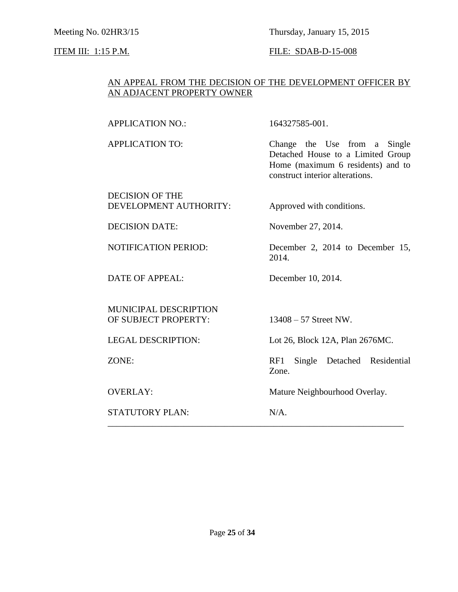### Meeting No. 02HR3/15 Thursday, January 15, 2015

### **ITEM III:** 1:15 P.M. **FILE:** SDAB-D-15-008

### AN APPEAL FROM THE DECISION OF THE DEVELOPMENT OFFICER BY AN ADJACENT PROPERTY OWNER

APPLICATION NO.: 164327585-001.

APPLICATION TO: Change the Use from a Single Detached House to a Limited Group Home (maximum 6 residents) and to construct interior alterations.

DECISION OF THE DEVELOPMENT AUTHORITY: Approved with conditions.

DECISION DATE: November 27, 2014.

NOTIFICATION PERIOD: December 2, 2014 to December 15, 2014.

DATE OF APPEAL: December 10, 2014.

MUNICIPAL DESCRIPTION OF SUBJECT PROPERTY: 13408 – 57 Street NW.

STATUTORY PLAN: N/A. \_\_\_\_\_\_\_\_\_\_\_\_\_\_\_\_\_\_\_\_\_\_\_\_\_\_\_\_\_\_\_\_\_\_\_\_\_\_\_\_\_\_\_\_\_\_\_\_\_\_\_\_\_\_\_\_\_\_\_\_\_\_\_\_\_\_

LEGAL DESCRIPTION: Lot 26, Block 12A, Plan 2676MC.

ZONE: RF1 Single Detached Residential Zone.

OVERLAY: Mature Neighbourhood Overlay.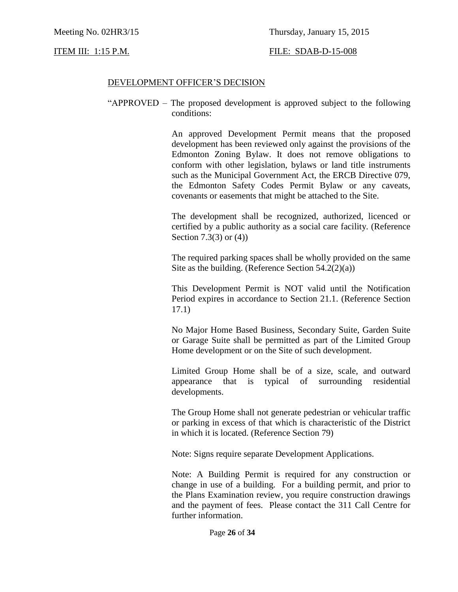ITEM III: 1:15 P.M. FILE: SDAB-D-15-008

#### DEVELOPMENT OFFICER'S DECISION

"APPROVED – The proposed development is approved subject to the following conditions:

> An approved Development Permit means that the proposed development has been reviewed only against the provisions of the Edmonton Zoning Bylaw. It does not remove obligations to conform with other legislation, bylaws or land title instruments such as the Municipal Government Act, the ERCB Directive 079, the Edmonton Safety Codes Permit Bylaw or any caveats, covenants or easements that might be attached to the Site.

> The development shall be recognized, authorized, licenced or certified by a public authority as a social care facility. (Reference Section 7.3(3) or (4))

> The required parking spaces shall be wholly provided on the same Site as the building. (Reference Section  $54.2(2)(a)$ )

> This Development Permit is NOT valid until the Notification Period expires in accordance to Section 21.1. (Reference Section 17.1)

> No Major Home Based Business, Secondary Suite, Garden Suite or Garage Suite shall be permitted as part of the Limited Group Home development or on the Site of such development.

> Limited Group Home shall be of a size, scale, and outward appearance that is typical of surrounding residential developments.

> The Group Home shall not generate pedestrian or vehicular traffic or parking in excess of that which is characteristic of the District in which it is located. (Reference Section 79)

Note: Signs require separate Development Applications.

Note: A Building Permit is required for any construction or change in use of a building. For a building permit, and prior to the Plans Examination review, you require construction drawings and the payment of fees. Please contact the 311 Call Centre for further information.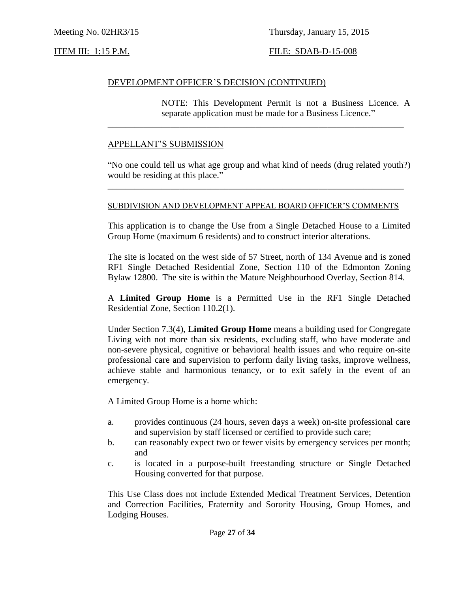Meeting No. 02HR3/15 Thursday, January 15, 2015

#### ITEM III: 1:15 P.M. FILE: SDAB-D-15-008

#### DEVELOPMENT OFFICER'S DECISION (CONTINUED)

NOTE: This Development Permit is not a Business Licence. A separate application must be made for a Business Licence."

#### APPELLANT'S SUBMISSION

"No one could tell us what age group and what kind of needs (drug related youth?) would be residing at this place."

\_\_\_\_\_\_\_\_\_\_\_\_\_\_\_\_\_\_\_\_\_\_\_\_\_\_\_\_\_\_\_\_\_\_\_\_\_\_\_\_\_\_\_\_\_\_\_\_\_\_\_\_\_\_\_\_\_\_\_\_\_\_\_\_\_\_

#### SUBDIVISION AND DEVELOPMENT APPEAL BOARD OFFICER'S COMMENTS

\_\_\_\_\_\_\_\_\_\_\_\_\_\_\_\_\_\_\_\_\_\_\_\_\_\_\_\_\_\_\_\_\_\_\_\_\_\_\_\_\_\_\_\_\_\_\_\_\_\_\_\_\_\_\_\_\_\_\_\_\_\_\_\_\_\_

This application is to change the Use from a Single Detached House to a Limited Group Home (maximum 6 residents) and to construct interior alterations.

The site is located on the west side of 57 Street, north of 134 Avenue and is zoned RF1 Single Detached Residential Zone, Section 110 of the Edmonton Zoning Bylaw 12800. The site is within the Mature Neighbourhood Overlay, Section 814.

A **Limited Group Home** is a Permitted Use in the RF1 Single Detached Residential Zone, Section 110.2(1).

Under Section 7.3(4), **Limited Group Home** means a building used for Congregate Living with not more than six residents, excluding staff, who have moderate and non-severe physical, cognitive or behavioral health issues and who require on-site professional care and supervision to perform daily living tasks, improve wellness, achieve stable and harmonious tenancy, or to exit safely in the event of an emergency.

A Limited Group Home is a home which:

- a. provides continuous (24 hours, seven days a week) on-site professional care and supervision by staff licensed or certified to provide such care;
- b. can reasonably expect two or fewer visits by emergency services per month; and
- c. is located in a purpose-built freestanding structure or Single Detached Housing converted for that purpose.

This Use Class does not include Extended Medical Treatment Services, Detention and Correction Facilities, Fraternity and Sorority Housing, Group Homes, and Lodging Houses.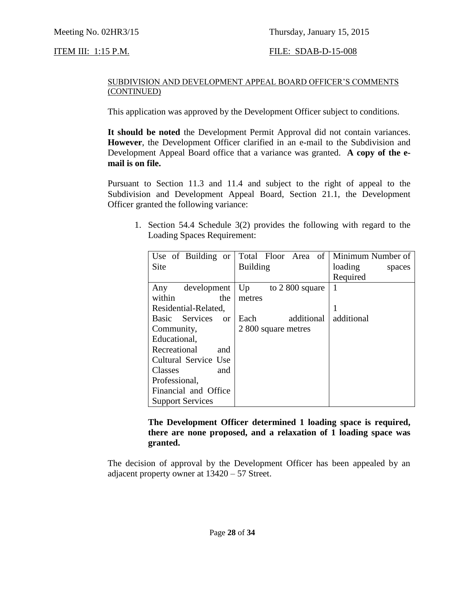### ITEM III: 1:15 P.M. FILE: SDAB-D-15-008

#### SUBDIVISION AND DEVELOPMENT APPEAL BOARD OFFICER'S COMMENTS (CONTINUED)

This application was approved by the Development Officer subject to conditions.

**It should be noted** the Development Permit Approval did not contain variances. **However**, the Development Officer clarified in an e-mail to the Subdivision and Development Appeal Board office that a variance was granted. **A copy of the email is on file.**

Pursuant to Section 11.3 and 11.4 and subject to the right of appeal to the Subdivision and Development Appeal Board, Section 21.1, the Development Officer granted the following variance:

1. Section 54.4 Schedule 3(2) provides the following with regard to the Loading Spaces Requirement:

| Use of Building or      | Total Floor Area of    | Minimum Number of |
|-------------------------|------------------------|-------------------|
| Site                    | <b>Building</b>        | loading<br>spaces |
|                         |                        | Required          |
| development<br>Any      | Up<br>to $2800$ square | 1                 |
| within<br>the           | metres                 |                   |
| Residential-Related,    |                        | 1                 |
| Basic Services or       | additional<br>Each     | additional        |
| Community,              | 2 800 square metres    |                   |
| Educational,            |                        |                   |
| Recreational<br>and     |                        |                   |
| Cultural Service Use    |                        |                   |
| Classes<br>and          |                        |                   |
| Professional,           |                        |                   |
| Financial and Office    |                        |                   |
| <b>Support Services</b> |                        |                   |

**The Development Officer determined 1 loading space is required, there are none proposed, and a relaxation of 1 loading space was granted.**

The decision of approval by the Development Officer has been appealed by an adjacent property owner at 13420 – 57 Street.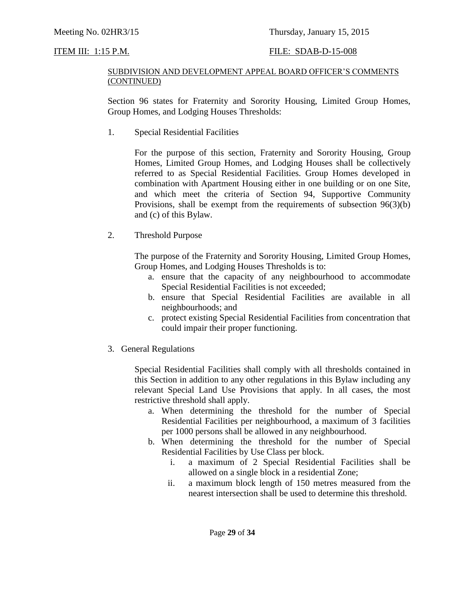### ITEM III: 1:15 P.M. FILE: SDAB-D-15-008

#### SUBDIVISION AND DEVELOPMENT APPEAL BOARD OFFICER'S COMMENTS (CONTINUED)

Section 96 states for Fraternity and Sorority Housing, Limited Group Homes, Group Homes, and Lodging Houses Thresholds:

1. Special Residential Facilities

For the purpose of this section, [Fraternity and Sorority Housing,](javascript:void(0);) [Group](javascript:void(0);)  [Homes, Limited Group Homes,](javascript:void(0);) and [Lodging Houses](javascript:void(0);) shall be collectively referred to as Special Residential Facilities. Group Homes developed in combination with Apartment Housing either in one building or on one Site, and which meet the criteria of [Section 94,](http://webdocs.edmonton.ca/InfraPlan/zoningbylaw/ZoningBylaw/Part1/Special_Land/94._Supportive_Community_Provision.htm) Supportive Community Provisions, shall be exempt from the requirements of subsection 96(3)(b) and (c) of this Bylaw.

2. Threshold Purpose

The purpose of the Fraternity and Sorority Housing, Limited Group Homes, Group Homes, and Lodging Houses Thresholds is to:

- a. ensure that the capacity of any neighbourhood to accommodate Special Residential Facilities is not exceeded;
- b. ensure that Special Residential Facilities are available in all neighbourhoods; and
- c. protect existing Special Residential Facilities from concentration that could impair their proper functioning.
- 3. General Regulations

Special Residential Facilities shall comply with all thresholds contained in this Section in addition to any other regulations in this Bylaw including any relevant Special Land Use Provisions that apply. In all cases, the most restrictive threshold shall apply.

- a. When determining the threshold for the number of Special Residential Facilities per neighbourhood, a maximum of 3 facilities per 1000 persons shall be allowed in any neighbourhood.
- b. When determining the threshold for the number of Special Residential Facilities by Use Class per block.
	- i. a maximum of 2 Special Residential Facilities shall be allowed on a single block in a residential Zone;
	- ii. a maximum block length of [150 me](javascript:void(0);)tres measured from the nearest intersection shall be used to determine this threshold.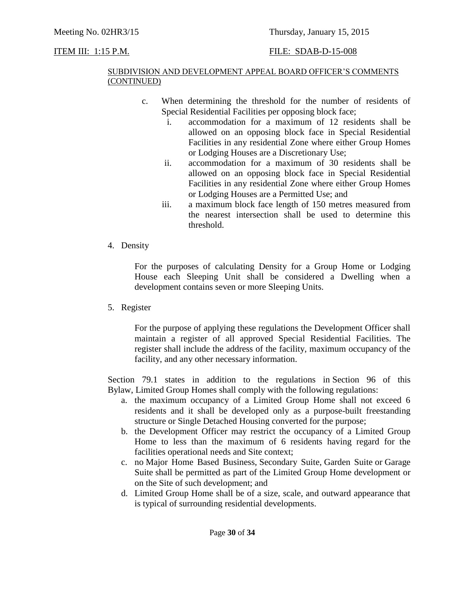### Meeting No. 02HR3/15 Thursday, January 15, 2015

### ITEM III: 1:15 P.M. FILE: SDAB-D-15-008

#### SUBDIVISION AND DEVELOPMENT APPEAL BOARD OFFICER'S COMMENTS (CONTINUED)

- c. When determining the threshold for the number of residents of Special Residential Facilities per opposing block face;
	- i. accommodation for a maximum of 12 residents shall be allowed on an opposing block face in Special Residential Facilities in any residential Zone where either Group Homes or Lodging Houses are a Discretionary Use;
	- ii. accommodation for a maximum of 30 residents shall be allowed on an opposing block face in Special Residential Facilities in any residential Zone where either Group Homes or Lodging Houses are a Permitted Use; and
	- iii. a maximum block face length of [150 me](javascript:void(0);)tres measured from the nearest intersection shall be used to determine this threshold.
- 4. Density

For the purposes of calculating Density for a Group Home or Lodging House each Sleeping Unit shall be considered a Dwelling when a development contains seven or more Sleeping Units.

5. Register

For the purpose of applying these regulations the Development Officer shall maintain a register of all approved Special Residential Facilities. The register shall include the address of the facility, maximum occupancy of the facility, and any other necessary information.

Section 79.1 states in addition to the regulations in Section 96 of this Bylaw, Limited Group Homes shall comply with the following regulations:

- a. the maximum occupancy of a Limited Group Home shall not exceed 6 residents and it shall be developed only as a purpose-built freestanding structure or Single Detached Housing converted for the purpose;
- b. the Development Officer may restrict the occupancy of a Limited Group Home to less than the maximum of 6 residents having regard for the facilities operational needs and Site context;
- c. no Major Home Based Business, Secondary Suite, Garden Suite or Garage Suite shall be permitted as part of the Limited Group Home development or on the Site of such development; and
- d. Limited Group Home shall be of a size, scale, and outward appearance that is typical of surrounding residential developments.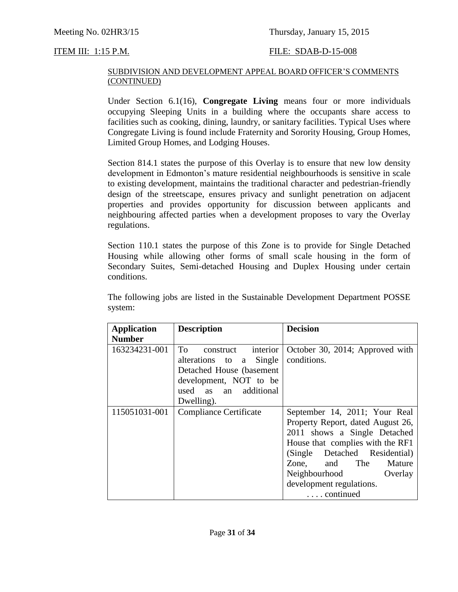### Meeting No. 02HR3/15 Thursday, January 15, 2015

#### ITEM III: 1:15 P.M. FILE: SDAB-D-15-008

#### SUBDIVISION AND DEVELOPMENT APPEAL BOARD OFFICER'S COMMENTS (CONTINUED)

Under Section 6.1(16), **Congregate Living** means four or more individuals occupying Sleeping Units in a building where the occupants share access to facilities such as cooking, dining, laundry, or sanitary facilities. Typical Uses where Congregate Living is found include Fraternity and Sorority Housing, Group Homes, Limited Group Homes, and Lodging Houses.

Section 814.1 states the purpose of this Overlay is to ensure that new low density development in Edmonton's mature residential neighbourhoods is sensitive in scale to existing development, maintains the traditional character and pedestrian-friendly design of the streetscape, ensures privacy and sunlight penetration on adjacent properties and provides opportunity for discussion between applicants and neighbouring affected parties when a development proposes to vary the Overlay regulations.

Section 110.1 states the purpose of this Zone is to provide for Single Detached Housing while allowing other forms of small scale housing in the form of Secondary Suites, Semi-detached Housing and Duplex Housing under certain conditions.

The following jobs are listed in the Sustainable Development Department POSSE system:

| <b>Application</b> | <b>Description</b>                                                                                                                                     | <b>Decision</b>                                                                                                                                                                                                                                                               |
|--------------------|--------------------------------------------------------------------------------------------------------------------------------------------------------|-------------------------------------------------------------------------------------------------------------------------------------------------------------------------------------------------------------------------------------------------------------------------------|
| <b>Number</b>      |                                                                                                                                                        |                                                                                                                                                                                                                                                                               |
| 163234231-001      | To To<br>interior<br>construct<br>alterations to a Single<br>Detached House (basement<br>development, NOT to be<br>used as an additional<br>Dwelling). | October 30, 2014; Approved with<br>conditions.                                                                                                                                                                                                                                |
| 115051031-001      | <b>Compliance Certificate</b>                                                                                                                          | September 14, 2011; Your Real<br>Property Report, dated August 26,<br>2011 shows a Single Detached<br>House that complies with the RF1<br>(Single Detached Residential)<br>Zone, and The Mature<br>Neighbourhood<br>Overlay<br>development regulations.<br>$\ldots$ continued |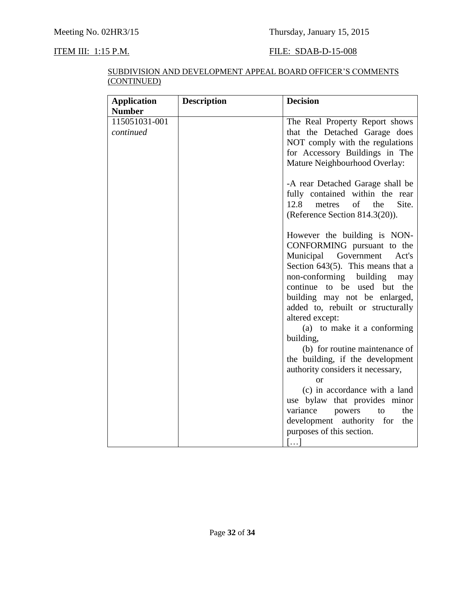### **ITEM III: 1:15 P.M. FILE: SDAB-D-15-008**

| SUBDIVISION AND DEVELOPMENT APPEAL BOARD OFFICER'S COMMENTS |
|-------------------------------------------------------------|
| (CONTINUED)                                                 |

| <b>Application</b>         | <b>Description</b> | <b>Decision</b>                                                                                                                                                                                                                                                                                                                 |
|----------------------------|--------------------|---------------------------------------------------------------------------------------------------------------------------------------------------------------------------------------------------------------------------------------------------------------------------------------------------------------------------------|
| <b>Number</b>              |                    |                                                                                                                                                                                                                                                                                                                                 |
| 115051031-001<br>continued |                    | The Real Property Report shows<br>that the Detached Garage does<br>NOT comply with the regulations<br>for Accessory Buildings in The<br>Mature Neighbourhood Overlay:                                                                                                                                                           |
|                            |                    | -A rear Detached Garage shall be<br>fully contained within the rear<br>12.8<br>$\sigma f$<br>Site.<br>the<br>metres<br>(Reference Section 814.3(20)).                                                                                                                                                                           |
|                            |                    | However the building is NON-<br>CONFORMING pursuant to the<br>Municipal Government<br>Act's<br>Section $643(5)$ . This means that a<br>non-conforming building<br>may<br>continue to be used but the<br>building may not be enlarged,<br>added to, rebuilt or structurally<br>altered except:                                   |
|                            |                    | (a) to make it a conforming<br>building,<br>(b) for routine maintenance of<br>the building, if the development<br>authority considers it necessary,<br>or<br>(c) in accordance with a land<br>use bylaw that provides minor<br>variance<br>powers<br>the<br>to<br>development authority for<br>the<br>purposes of this section. |
|                            |                    | $\left[\ldots\right]$                                                                                                                                                                                                                                                                                                           |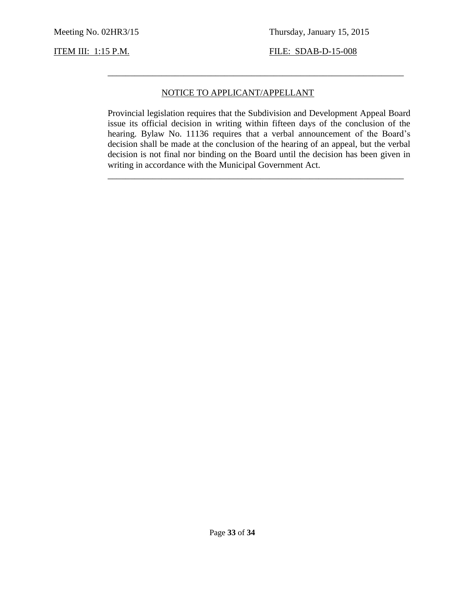**ITEM III: 1:15 P.M. FILE: SDAB-D-15-008** 

#### NOTICE TO APPLICANT/APPELLANT

Provincial legislation requires that the Subdivision and Development Appeal Board issue its official decision in writing within fifteen days of the conclusion of the hearing. Bylaw No. 11136 requires that a verbal announcement of the Board's decision shall be made at the conclusion of the hearing of an appeal, but the verbal decision is not final nor binding on the Board until the decision has been given in writing in accordance with the Municipal Government Act.

\_\_\_\_\_\_\_\_\_\_\_\_\_\_\_\_\_\_\_\_\_\_\_\_\_\_\_\_\_\_\_\_\_\_\_\_\_\_\_\_\_\_\_\_\_\_\_\_\_\_\_\_\_\_\_\_\_\_\_\_\_\_\_\_\_\_

\_\_\_\_\_\_\_\_\_\_\_\_\_\_\_\_\_\_\_\_\_\_\_\_\_\_\_\_\_\_\_\_\_\_\_\_\_\_\_\_\_\_\_\_\_\_\_\_\_\_\_\_\_\_\_\_\_\_\_\_\_\_\_\_\_\_